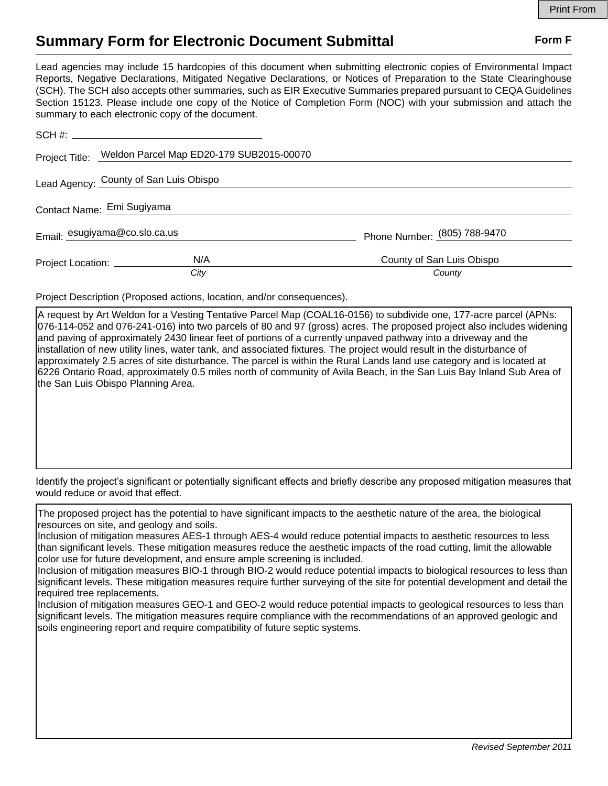## **Summary Form for Electronic Document Submittal Form F Form F**

Lead agencies may include 15 hardcopies of this document when submitting electronic copies of Environmental Impact Reports, Negative Declarations, Mitigated Negative Declarations, or Notices of Preparation to the State Clearinghouse (SCH). The SCH also accepts other summaries, such as EIR Executive Summaries prepared pursuant to CEQA Guidelines Section 15123. Please include one copy of the Notice of Completion Form (NOC) with your submission and attach the summary to each electronic copy of the document.

|                               | Project Title: Weldon Parcel Map ED20-179 SUB2015-00070 |                                     |
|-------------------------------|---------------------------------------------------------|-------------------------------------|
|                               | Lead Agency: County of San Luis Obispo                  |                                     |
| Contact Name: Emi Sugiyama    |                                                         |                                     |
| Email: esugiyama@co.slo.ca.us |                                                         | Phone Number: (805) 788-9470        |
|                               | N/A<br>Project Location: __________<br>City             | County of San Luis Obispo<br>County |

Project Description (Proposed actions, location, and/or consequences).

A request by Art Weldon for a Vesting Tentative Parcel Map (COAL16-0156) to subdivide one, 177-acre parcel (APNs: 076-114-052 and 076-241-016) into two parcels of 80 and 97 (gross) acres. The proposed project also includes widening and paving of approximately 2430 linear feet of portions of a currently unpaved pathway into a driveway and the installation of new utility lines, water tank, and associated fixtures. The project would result in the disturbance of approximately 2.5 acres of site disturbance. The parcel is within the Rural Lands land use category and is located at 6226 Ontario Road, approximately 0.5 miles north of community of Avila Beach, in the San Luis Bay Inland Sub Area of the San Luis Obispo Planning Area.

Identify the project's significant or potentially significant effects and briefly describe any proposed mitigation measures that would reduce or avoid that effect.

The proposed project has the potential to have significant impacts to the aesthetic nature of the area, the biological resources on site, and geology and soils.

Inclusion of mitigation measures AES-1 through AES-4 would reduce potential impacts to aesthetic resources to less than significant levels. These mitigation measures reduce the aesthetic impacts of the road cutting, limit the allowable color use for future development, and ensure ample screening is included.

Inclusion of mitigation measures BIO-1 through BIO-2 would reduce potential impacts to biological resources to less than significant levels. These mitigation measures require further surveying of the site for potential development and detail the required tree replacements.

Inclusion of mitigation measures GEO-1 and GEO-2 would reduce potential impacts to geological resources to less than significant levels. The mitigation measures require compliance with the recommendations of an approved geologic and soils engineering report and require compatibility of future septic systems.